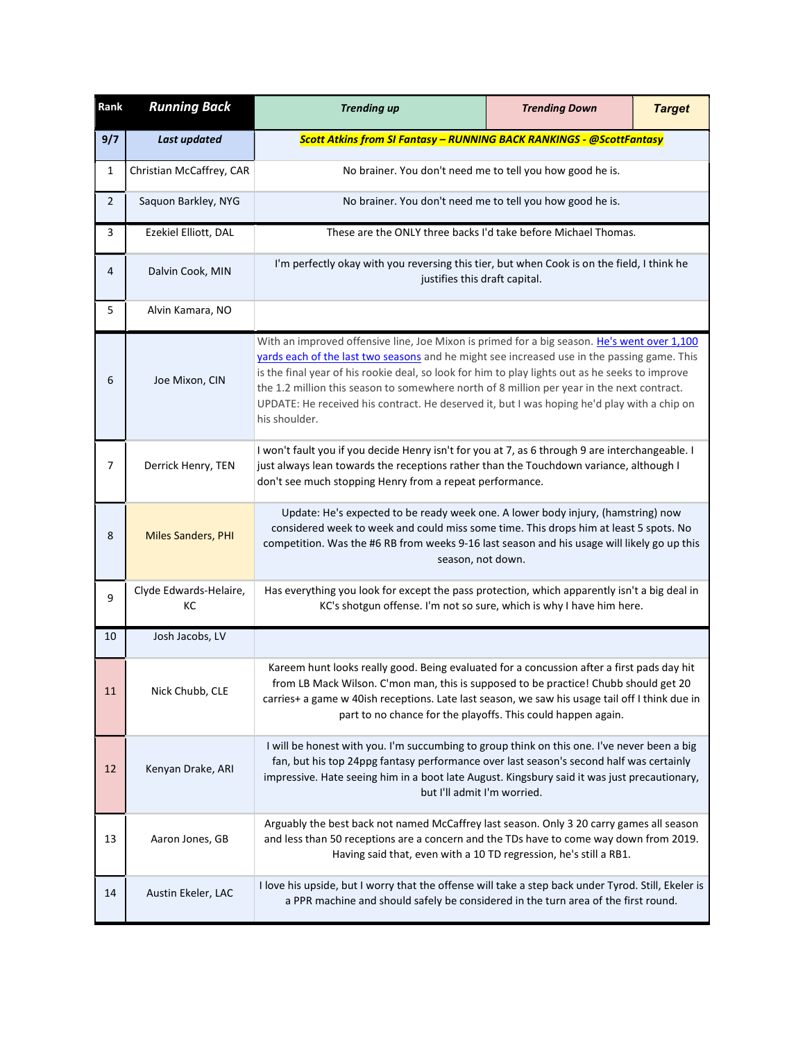| Rank         | <b>Running Back</b>          | <b>Trending up</b>                                                                                                                                                                                                                                                                                                                                                                                                                                                                                          | <b>Trending Down</b> | <b>Target</b> |
|--------------|------------------------------|-------------------------------------------------------------------------------------------------------------------------------------------------------------------------------------------------------------------------------------------------------------------------------------------------------------------------------------------------------------------------------------------------------------------------------------------------------------------------------------------------------------|----------------------|---------------|
| 9/7          | <b>Last updated</b>          | <b>Scott Atkins from SI Fantasy - RUNNING BACK RANKINGS - @ScottFantasy</b>                                                                                                                                                                                                                                                                                                                                                                                                                                 |                      |               |
| 1            | Christian McCaffrey, CAR     | No brainer. You don't need me to tell you how good he is.                                                                                                                                                                                                                                                                                                                                                                                                                                                   |                      |               |
| $\mathbf{2}$ | Saquon Barkley, NYG          | No brainer. You don't need me to tell you how good he is.                                                                                                                                                                                                                                                                                                                                                                                                                                                   |                      |               |
| 3            | Ezekiel Elliott, DAL         | These are the ONLY three backs I'd take before Michael Thomas.                                                                                                                                                                                                                                                                                                                                                                                                                                              |                      |               |
| 4            | Dalvin Cook, MIN             | I'm perfectly okay with you reversing this tier, but when Cook is on the field, I think he<br>justifies this draft capital.                                                                                                                                                                                                                                                                                                                                                                                 |                      |               |
| 5            | Alvin Kamara, NO             |                                                                                                                                                                                                                                                                                                                                                                                                                                                                                                             |                      |               |
| 6            | Joe Mixon, CIN               | With an improved offensive line, Joe Mixon is primed for a big season. He's went over 1,100<br>yards each of the last two seasons and he might see increased use in the passing game. This<br>is the final year of his rookie deal, so look for him to play lights out as he seeks to improve<br>the 1.2 million this season to somewhere north of 8 million per year in the next contract.<br>UPDATE: He received his contract. He deserved it, but I was hoping he'd play with a chip on<br>his shoulder. |                      |               |
| 7            | Derrick Henry, TEN           | I won't fault you if you decide Henry isn't for you at 7, as 6 through 9 are interchangeable. I<br>just always lean towards the receptions rather than the Touchdown variance, although I<br>don't see much stopping Henry from a repeat performance.                                                                                                                                                                                                                                                       |                      |               |
| 8            | <b>Miles Sanders, PHI</b>    | Update: He's expected to be ready week one. A lower body injury, (hamstring) now<br>considered week to week and could miss some time. This drops him at least 5 spots. No<br>competition. Was the #6 RB from weeks 9-16 last season and his usage will likely go up this<br>season, not down.                                                                                                                                                                                                               |                      |               |
| 9            | Clyde Edwards-Helaire,<br>КC | Has everything you look for except the pass protection, which apparently isn't a big deal in<br>KC's shotgun offense. I'm not so sure, which is why I have him here.                                                                                                                                                                                                                                                                                                                                        |                      |               |
| 10           | Josh Jacobs, LV              |                                                                                                                                                                                                                                                                                                                                                                                                                                                                                                             |                      |               |
| 11           | Nick Chubb, CLE              | Kareem hunt looks really good. Being evaluated for a concussion after a first pads day hit<br>from LB Mack Wilson. C'mon man, this is supposed to be practice! Chubb should get 20<br>carries+ a game w 40ish receptions. Late last season, we saw his usage tail off I think due in<br>part to no chance for the playoffs. This could happen again.                                                                                                                                                        |                      |               |
| 12           | Kenyan Drake, ARI            | I will be honest with you. I'm succumbing to group think on this one. I've never been a big<br>fan, but his top 24ppg fantasy performance over last season's second half was certainly<br>impressive. Hate seeing him in a boot late August. Kingsbury said it was just precautionary,<br>but I'll admit I'm worried.                                                                                                                                                                                       |                      |               |
| 13           | Aaron Jones, GB              | Arguably the best back not named McCaffrey last season. Only 3 20 carry games all season<br>and less than 50 receptions are a concern and the TDs have to come way down from 2019.<br>Having said that, even with a 10 TD regression, he's still a RB1.                                                                                                                                                                                                                                                     |                      |               |
| 14           | Austin Ekeler, LAC           | I love his upside, but I worry that the offense will take a step back under Tyrod. Still, Ekeler is<br>a PPR machine and should safely be considered in the turn area of the first round.                                                                                                                                                                                                                                                                                                                   |                      |               |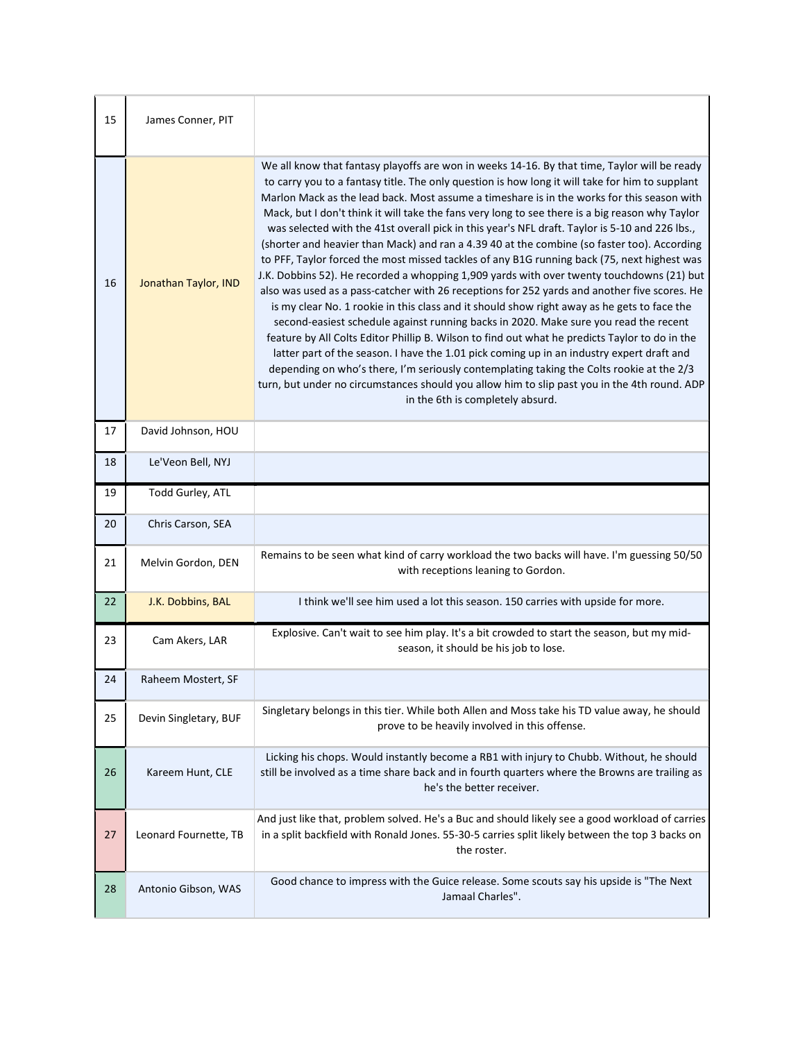| 15 | James Conner, PIT     |                                                                                                                                                                                                                                                                                                                                                                                                                                                                                                                                                                                                                                                                                                                                                                                                                                                                                                                                                                                                                                                                                                                                                                                                                                                                                                                                                                                                                                                                                                                     |
|----|-----------------------|---------------------------------------------------------------------------------------------------------------------------------------------------------------------------------------------------------------------------------------------------------------------------------------------------------------------------------------------------------------------------------------------------------------------------------------------------------------------------------------------------------------------------------------------------------------------------------------------------------------------------------------------------------------------------------------------------------------------------------------------------------------------------------------------------------------------------------------------------------------------------------------------------------------------------------------------------------------------------------------------------------------------------------------------------------------------------------------------------------------------------------------------------------------------------------------------------------------------------------------------------------------------------------------------------------------------------------------------------------------------------------------------------------------------------------------------------------------------------------------------------------------------|
| 16 | Jonathan Taylor, IND  | We all know that fantasy playoffs are won in weeks 14-16. By that time, Taylor will be ready<br>to carry you to a fantasy title. The only question is how long it will take for him to supplant<br>Marlon Mack as the lead back. Most assume a timeshare is in the works for this season with<br>Mack, but I don't think it will take the fans very long to see there is a big reason why Taylor<br>was selected with the 41st overall pick in this year's NFL draft. Taylor is 5-10 and 226 lbs.,<br>(shorter and heavier than Mack) and ran a 4.39 40 at the combine (so faster too). According<br>to PFF, Taylor forced the most missed tackles of any B1G running back (75, next highest was<br>J.K. Dobbins 52). He recorded a whopping 1,909 yards with over twenty touchdowns (21) but<br>also was used as a pass-catcher with 26 receptions for 252 yards and another five scores. He<br>is my clear No. 1 rookie in this class and it should show right away as he gets to face the<br>second-easiest schedule against running backs in 2020. Make sure you read the recent<br>feature by All Colts Editor Phillip B. Wilson to find out what he predicts Taylor to do in the<br>latter part of the season. I have the 1.01 pick coming up in an industry expert draft and<br>depending on who's there, I'm seriously contemplating taking the Colts rookie at the 2/3<br>turn, but under no circumstances should you allow him to slip past you in the 4th round. ADP<br>in the 6th is completely absurd. |
| 17 | David Johnson, HOU    |                                                                                                                                                                                                                                                                                                                                                                                                                                                                                                                                                                                                                                                                                                                                                                                                                                                                                                                                                                                                                                                                                                                                                                                                                                                                                                                                                                                                                                                                                                                     |
| 18 | Le'Veon Bell, NYJ     |                                                                                                                                                                                                                                                                                                                                                                                                                                                                                                                                                                                                                                                                                                                                                                                                                                                                                                                                                                                                                                                                                                                                                                                                                                                                                                                                                                                                                                                                                                                     |
| 19 | Todd Gurley, ATL      |                                                                                                                                                                                                                                                                                                                                                                                                                                                                                                                                                                                                                                                                                                                                                                                                                                                                                                                                                                                                                                                                                                                                                                                                                                                                                                                                                                                                                                                                                                                     |
| 20 | Chris Carson, SEA     |                                                                                                                                                                                                                                                                                                                                                                                                                                                                                                                                                                                                                                                                                                                                                                                                                                                                                                                                                                                                                                                                                                                                                                                                                                                                                                                                                                                                                                                                                                                     |
| 21 | Melvin Gordon, DEN    | Remains to be seen what kind of carry workload the two backs will have. I'm guessing 50/50<br>with receptions leaning to Gordon.                                                                                                                                                                                                                                                                                                                                                                                                                                                                                                                                                                                                                                                                                                                                                                                                                                                                                                                                                                                                                                                                                                                                                                                                                                                                                                                                                                                    |
| 22 | J.K. Dobbins, BAL     | I think we'll see him used a lot this season. 150 carries with upside for more.                                                                                                                                                                                                                                                                                                                                                                                                                                                                                                                                                                                                                                                                                                                                                                                                                                                                                                                                                                                                                                                                                                                                                                                                                                                                                                                                                                                                                                     |
| 23 | Cam Akers, LAR        | Explosive. Can't wait to see him play. It's a bit crowded to start the season, but my mid-<br>season, it should be his job to lose.                                                                                                                                                                                                                                                                                                                                                                                                                                                                                                                                                                                                                                                                                                                                                                                                                                                                                                                                                                                                                                                                                                                                                                                                                                                                                                                                                                                 |
| 24 | Raheem Mostert, SF    |                                                                                                                                                                                                                                                                                                                                                                                                                                                                                                                                                                                                                                                                                                                                                                                                                                                                                                                                                                                                                                                                                                                                                                                                                                                                                                                                                                                                                                                                                                                     |
| 25 | Devin Singletary, BUF | Singletary belongs in this tier. While both Allen and Moss take his TD value away, he should<br>prove to be heavily involved in this offense.                                                                                                                                                                                                                                                                                                                                                                                                                                                                                                                                                                                                                                                                                                                                                                                                                                                                                                                                                                                                                                                                                                                                                                                                                                                                                                                                                                       |
| 26 | Kareem Hunt, CLE      | Licking his chops. Would instantly become a RB1 with injury to Chubb. Without, he should<br>still be involved as a time share back and in fourth quarters where the Browns are trailing as<br>he's the better receiver.                                                                                                                                                                                                                                                                                                                                                                                                                                                                                                                                                                                                                                                                                                                                                                                                                                                                                                                                                                                                                                                                                                                                                                                                                                                                                             |
| 27 | Leonard Fournette, TB | And just like that, problem solved. He's a Buc and should likely see a good workload of carries<br>in a split backfield with Ronald Jones. 55-30-5 carries split likely between the top 3 backs on<br>the roster.                                                                                                                                                                                                                                                                                                                                                                                                                                                                                                                                                                                                                                                                                                                                                                                                                                                                                                                                                                                                                                                                                                                                                                                                                                                                                                   |
| 28 | Antonio Gibson, WAS   | Good chance to impress with the Guice release. Some scouts say his upside is "The Next<br>Jamaal Charles".                                                                                                                                                                                                                                                                                                                                                                                                                                                                                                                                                                                                                                                                                                                                                                                                                                                                                                                                                                                                                                                                                                                                                                                                                                                                                                                                                                                                          |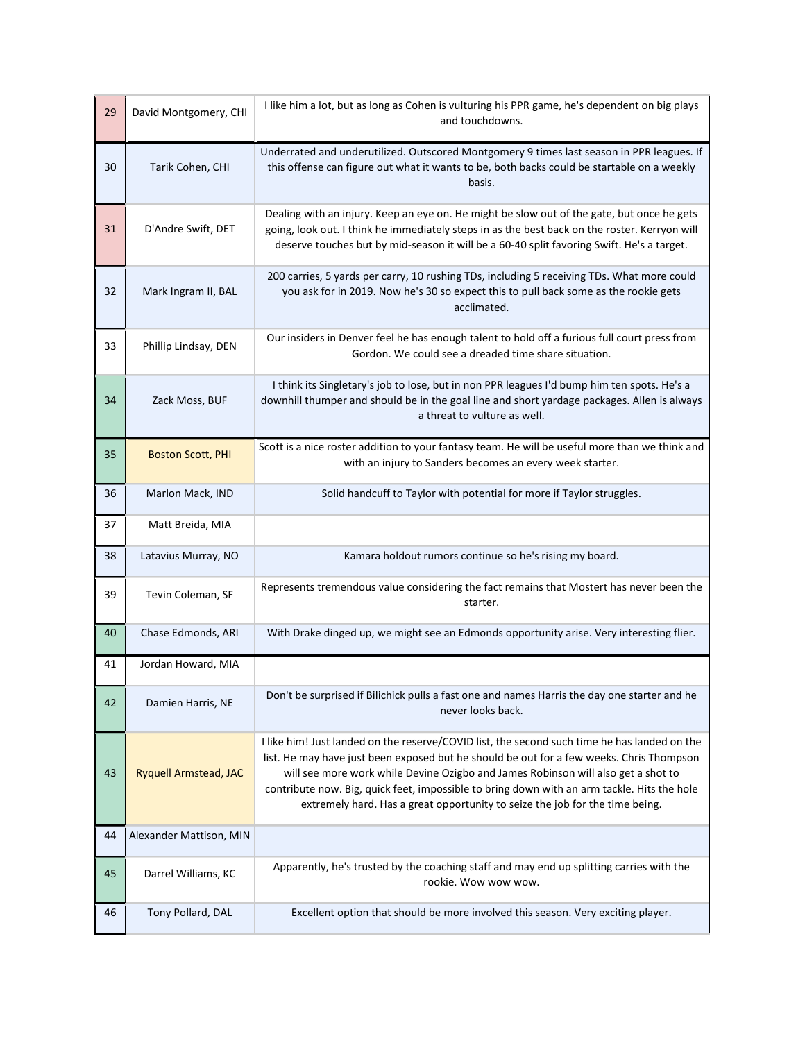| 29 | David Montgomery, CHI    | I like him a lot, but as long as Cohen is vulturing his PPR game, he's dependent on big plays<br>and touchdowns.                                                                                                                                                                                                                                                                                                                                             |
|----|--------------------------|--------------------------------------------------------------------------------------------------------------------------------------------------------------------------------------------------------------------------------------------------------------------------------------------------------------------------------------------------------------------------------------------------------------------------------------------------------------|
| 30 | Tarik Cohen, CHI         | Underrated and underutilized. Outscored Montgomery 9 times last season in PPR leagues. If<br>this offense can figure out what it wants to be, both backs could be startable on a weekly<br>basis.                                                                                                                                                                                                                                                            |
| 31 | D'Andre Swift, DET       | Dealing with an injury. Keep an eye on. He might be slow out of the gate, but once he gets<br>going, look out. I think he immediately steps in as the best back on the roster. Kerryon will<br>deserve touches but by mid-season it will be a 60-40 split favoring Swift. He's a target.                                                                                                                                                                     |
| 32 | Mark Ingram II, BAL      | 200 carries, 5 yards per carry, 10 rushing TDs, including 5 receiving TDs. What more could<br>you ask for in 2019. Now he's 30 so expect this to pull back some as the rookie gets<br>acclimated.                                                                                                                                                                                                                                                            |
| 33 | Phillip Lindsay, DEN     | Our insiders in Denver feel he has enough talent to hold off a furious full court press from<br>Gordon. We could see a dreaded time share situation.                                                                                                                                                                                                                                                                                                         |
| 34 | Zack Moss, BUF           | I think its Singletary's job to lose, but in non PPR leagues I'd bump him ten spots. He's a<br>downhill thumper and should be in the goal line and short yardage packages. Allen is always<br>a threat to vulture as well.                                                                                                                                                                                                                                   |
| 35 | <b>Boston Scott, PHI</b> | Scott is a nice roster addition to your fantasy team. He will be useful more than we think and<br>with an injury to Sanders becomes an every week starter.                                                                                                                                                                                                                                                                                                   |
| 36 | Marlon Mack, IND         | Solid handcuff to Taylor with potential for more if Taylor struggles.                                                                                                                                                                                                                                                                                                                                                                                        |
| 37 | Matt Breida, MIA         |                                                                                                                                                                                                                                                                                                                                                                                                                                                              |
| 38 | Latavius Murray, NO      | Kamara holdout rumors continue so he's rising my board.                                                                                                                                                                                                                                                                                                                                                                                                      |
| 39 | Tevin Coleman, SF        | Represents tremendous value considering the fact remains that Mostert has never been the<br>starter.                                                                                                                                                                                                                                                                                                                                                         |
| 40 | Chase Edmonds, ARI       | With Drake dinged up, we might see an Edmonds opportunity arise. Very interesting flier.                                                                                                                                                                                                                                                                                                                                                                     |
| 41 | Jordan Howard, MIA       |                                                                                                                                                                                                                                                                                                                                                                                                                                                              |
| 42 | Damien Harris, NE        | Don't be surprised if Bilichick pulls a fast one and names Harris the day one starter and he<br>never looks back.                                                                                                                                                                                                                                                                                                                                            |
| 43 | Ryquell Armstead, JAC    | I like him! Just landed on the reserve/COVID list, the second such time he has landed on the<br>list. He may have just been exposed but he should be out for a few weeks. Chris Thompson<br>will see more work while Devine Ozigbo and James Robinson will also get a shot to<br>contribute now. Big, quick feet, impossible to bring down with an arm tackle. Hits the hole<br>extremely hard. Has a great opportunity to seize the job for the time being. |
| 44 | Alexander Mattison, MIN  |                                                                                                                                                                                                                                                                                                                                                                                                                                                              |
| 45 | Darrel Williams, KC      | Apparently, he's trusted by the coaching staff and may end up splitting carries with the<br>rookie. Wow wow wow.                                                                                                                                                                                                                                                                                                                                             |
| 46 | Tony Pollard, DAL        | Excellent option that should be more involved this season. Very exciting player.                                                                                                                                                                                                                                                                                                                                                                             |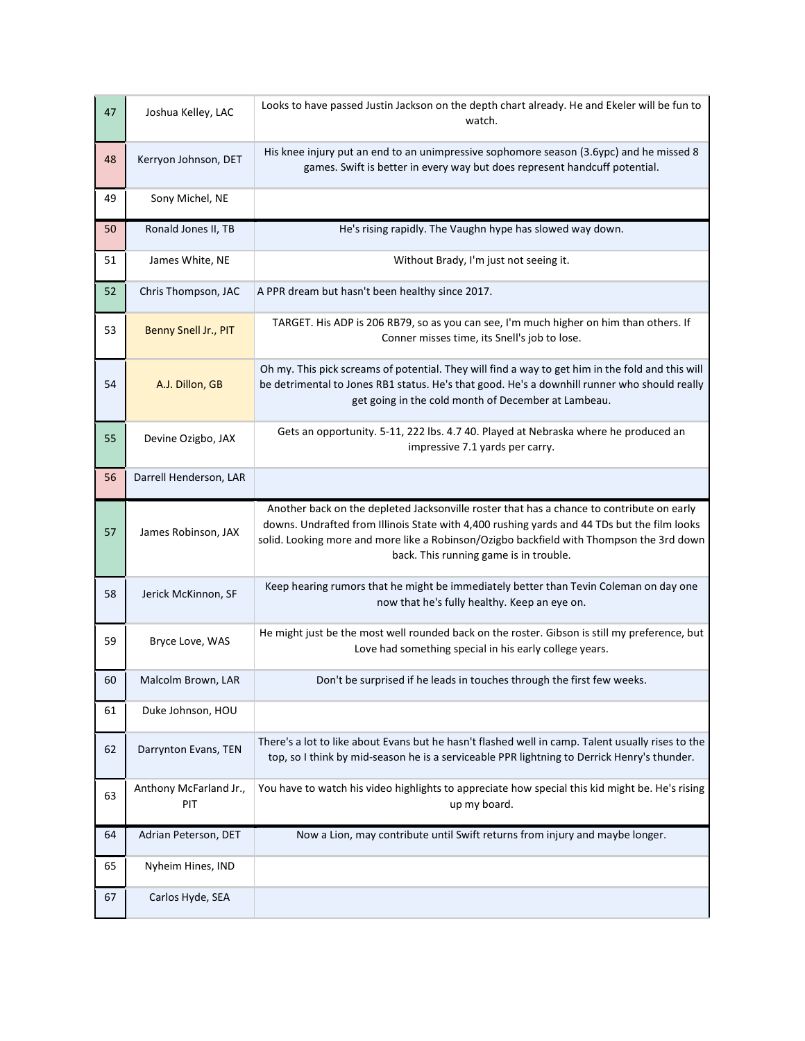| 47 | Joshua Kelley, LAC            | Looks to have passed Justin Jackson on the depth chart already. He and Ekeler will be fun to<br>watch.                                                                                                                                                                                                                         |
|----|-------------------------------|--------------------------------------------------------------------------------------------------------------------------------------------------------------------------------------------------------------------------------------------------------------------------------------------------------------------------------|
| 48 | Kerryon Johnson, DET          | His knee injury put an end to an unimpressive sophomore season (3.6ypc) and he missed 8<br>games. Swift is better in every way but does represent handcuff potential.                                                                                                                                                          |
| 49 | Sony Michel, NE               |                                                                                                                                                                                                                                                                                                                                |
| 50 | Ronald Jones II, TB           | He's rising rapidly. The Vaughn hype has slowed way down.                                                                                                                                                                                                                                                                      |
| 51 | James White, NE               | Without Brady, I'm just not seeing it.                                                                                                                                                                                                                                                                                         |
| 52 | Chris Thompson, JAC           | A PPR dream but hasn't been healthy since 2017.                                                                                                                                                                                                                                                                                |
| 53 | Benny Snell Jr., PIT          | TARGET. His ADP is 206 RB79, so as you can see, I'm much higher on him than others. If<br>Conner misses time, its Snell's job to lose.                                                                                                                                                                                         |
| 54 | A.J. Dillon, GB               | Oh my. This pick screams of potential. They will find a way to get him in the fold and this will<br>be detrimental to Jones RB1 status. He's that good. He's a downhill runner who should really<br>get going in the cold month of December at Lambeau.                                                                        |
| 55 | Devine Ozigbo, JAX            | Gets an opportunity. 5-11, 222 lbs. 4.7 40. Played at Nebraska where he produced an<br>impressive 7.1 yards per carry.                                                                                                                                                                                                         |
| 56 | Darrell Henderson, LAR        |                                                                                                                                                                                                                                                                                                                                |
| 57 | James Robinson, JAX           | Another back on the depleted Jacksonville roster that has a chance to contribute on early<br>downs. Undrafted from Illinois State with 4,400 rushing yards and 44 TDs but the film looks<br>solid. Looking more and more like a Robinson/Ozigbo backfield with Thompson the 3rd down<br>back. This running game is in trouble. |
| 58 | Jerick McKinnon, SF           | Keep hearing rumors that he might be immediately better than Tevin Coleman on day one<br>now that he's fully healthy. Keep an eye on.                                                                                                                                                                                          |
| 59 | Bryce Love, WAS               | He might just be the most well rounded back on the roster. Gibson is still my preference, but<br>Love had something special in his early college years.                                                                                                                                                                        |
| 60 | Malcolm Brown, LAR            | Don't be surprised if he leads in touches through the first few weeks.                                                                                                                                                                                                                                                         |
| 61 | Duke Johnson, HOU             |                                                                                                                                                                                                                                                                                                                                |
| 62 | Darrynton Evans, TEN          | There's a lot to like about Evans but he hasn't flashed well in camp. Talent usually rises to the<br>top, so I think by mid-season he is a serviceable PPR lightning to Derrick Henry's thunder.                                                                                                                               |
| 63 | Anthony McFarland Jr.,<br>PIT | You have to watch his video highlights to appreciate how special this kid might be. He's rising<br>up my board.                                                                                                                                                                                                                |
| 64 | Adrian Peterson, DET          | Now a Lion, may contribute until Swift returns from injury and maybe longer.                                                                                                                                                                                                                                                   |
| 65 | Nyheim Hines, IND             |                                                                                                                                                                                                                                                                                                                                |
| 67 | Carlos Hyde, SEA              |                                                                                                                                                                                                                                                                                                                                |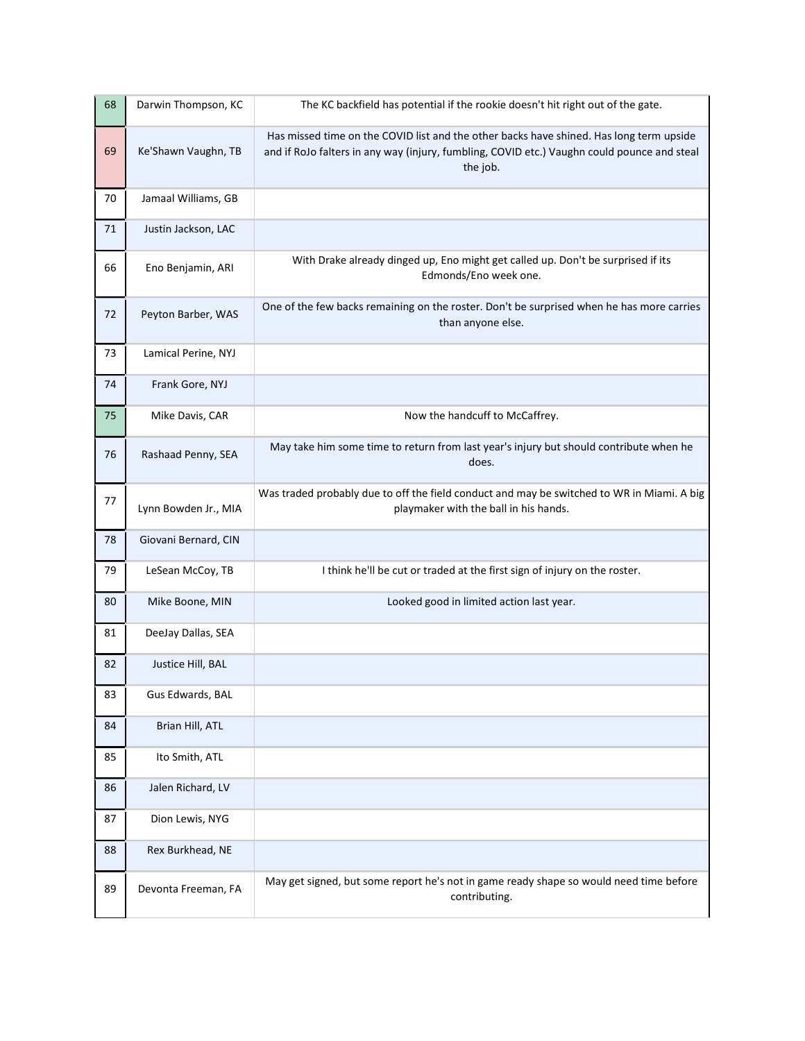| 68 | Darwin Thompson, KC  | The KC backfield has potential if the rookie doesn't hit right out of the gate.                                                                                                                    |
|----|----------------------|----------------------------------------------------------------------------------------------------------------------------------------------------------------------------------------------------|
| 69 | Ke'Shawn Vaughn, TB  | Has missed time on the COVID list and the other backs have shined. Has long term upside<br>and if RoJo falters in any way (injury, fumbling, COVID etc.) Vaughn could pounce and steal<br>the job. |
| 70 | Jamaal Williams, GB  |                                                                                                                                                                                                    |
| 71 | Justin Jackson, LAC  |                                                                                                                                                                                                    |
| 66 | Eno Benjamin, ARI    | With Drake already dinged up, Eno might get called up. Don't be surprised if its<br>Edmonds/Eno week one.                                                                                          |
| 72 | Peyton Barber, WAS   | One of the few backs remaining on the roster. Don't be surprised when he has more carries<br>than anyone else.                                                                                     |
| 73 | Lamical Perine, NYJ  |                                                                                                                                                                                                    |
| 74 | Frank Gore, NYJ      |                                                                                                                                                                                                    |
| 75 | Mike Davis, CAR      | Now the handcuff to McCaffrey.                                                                                                                                                                     |
| 76 | Rashaad Penny, SEA   | May take him some time to return from last year's injury but should contribute when he<br>does.                                                                                                    |
| 77 | Lynn Bowden Jr., MIA | Was traded probably due to off the field conduct and may be switched to WR in Miami. A big<br>playmaker with the ball in his hands.                                                                |
| 78 | Giovani Bernard, CIN |                                                                                                                                                                                                    |
| 79 | LeSean McCoy, TB     | I think he'll be cut or traded at the first sign of injury on the roster.                                                                                                                          |
| 80 | Mike Boone, MIN      | Looked good in limited action last year.                                                                                                                                                           |
| 81 | DeeJay Dallas, SEA   |                                                                                                                                                                                                    |
| 82 | Justice Hill, BAL    |                                                                                                                                                                                                    |
| 83 | Gus Edwards, BAL     |                                                                                                                                                                                                    |
| 84 | Brian Hill, ATL      |                                                                                                                                                                                                    |
| 85 | Ito Smith, ATL       |                                                                                                                                                                                                    |
| 86 | Jalen Richard, LV    |                                                                                                                                                                                                    |
| 87 | Dion Lewis, NYG      |                                                                                                                                                                                                    |
| 88 | Rex Burkhead, NE     |                                                                                                                                                                                                    |
| 89 | Devonta Freeman, FA  | May get signed, but some report he's not in game ready shape so would need time before<br>contributing.                                                                                            |